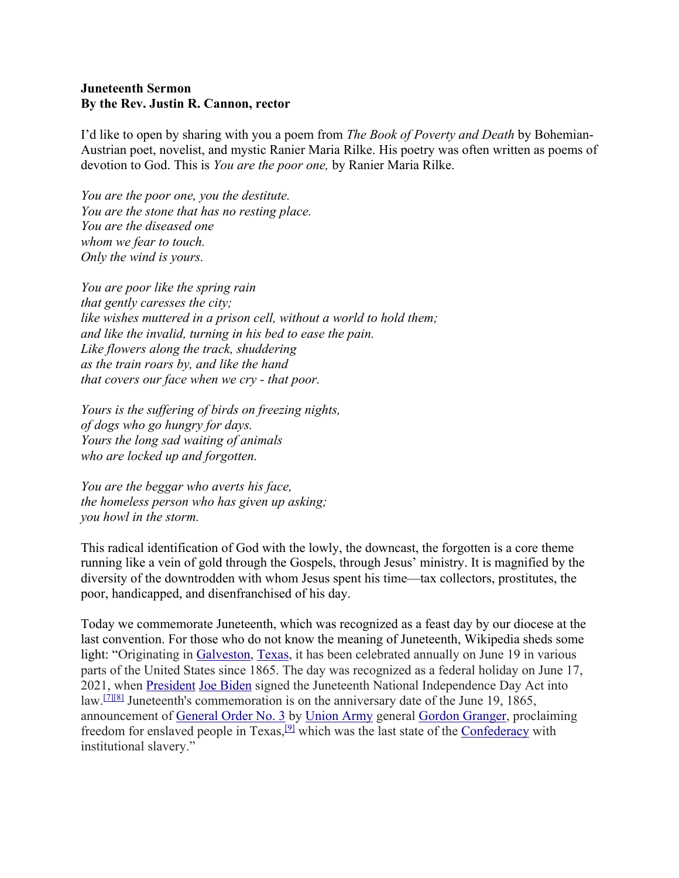## **Juneteenth Sermon By the Rev. Justin R. Cannon, rector**

I'd like to open by sharing with you a poem from *The Book of Poverty and Death* by Bohemian-Austrian poet, novelist, and mystic Ranier Maria Rilke. His poetry was often written as poems of devotion to God. This is *You are the poor one,* by Ranier Maria Rilke.

*You are the poor one, you the destitute. You are the stone that has no resting place. You are the diseased one whom we fear to touch. Only the wind is yours.*

*You are poor like the spring rain that gently caresses the city; like wishes muttered in a prison cell, without a world to hold them; and like the invalid, turning in his bed to ease the pain. Like flowers along the track, shuddering as the train roars by, and like the hand that covers our face when we cry - that poor.*

*Yours is the suffering of birds on freezing nights, of dogs who go hungry for days. Yours the long sad waiting of animals who are locked up and forgotten.*

*You are the beggar who averts his face, the homeless person who has given up asking; you howl in the storm.*

This radical identification of God with the lowly, the downcast, the forgotten is a core theme running like a vein of gold through the Gospels, through Jesus' ministry. It is magnified by the diversity of the downtrodden with whom Jesus spent his time—tax collectors, prostitutes, the poor, handicapped, and disenfranchised of his day.

Today we commemorate Juneteenth, which was recognized as a feast day by our diocese at the last convention. For those who do not know the meaning of Juneteenth, Wikipedia sheds some light: "Originating in Galveston, Texas, it has been celebrated annually on June 19 in various parts of the United States since 1865. The day was recognized as a federal holiday on June 17, 2021, when President Joe Biden signed the Juneteenth National Independence Day Act into law.[7][8] Juneteenth's commemoration is on the anniversary date of the June 19, 1865, announcement of General Order No. 3 by Union Army general Gordon Granger, proclaiming freedom for enslaved people in Texas,<sup>[9]</sup> which was the last state of the Confederacy with institutional slavery."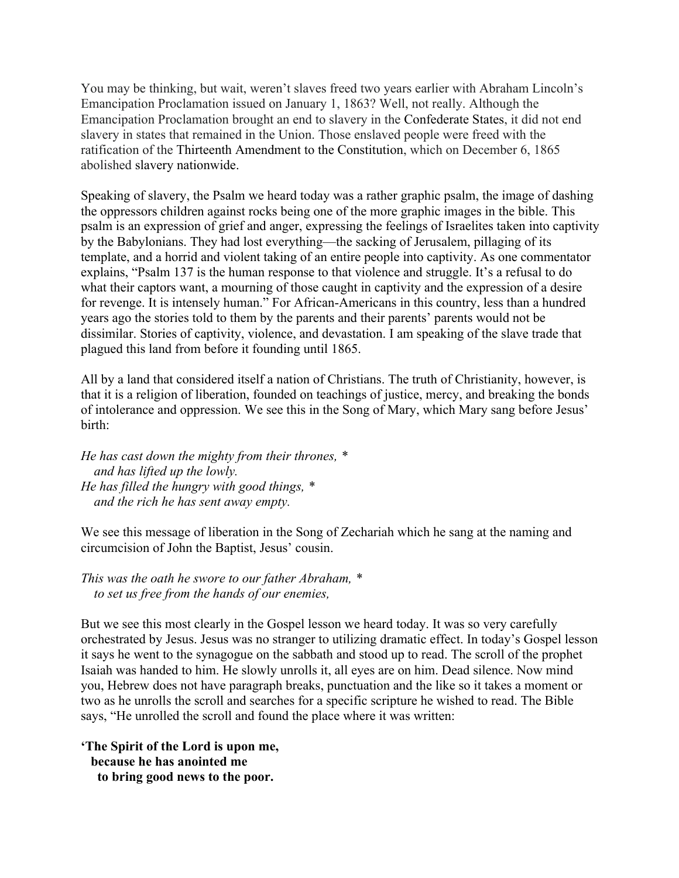You may be thinking, but wait, weren't slaves freed two years earlier with Abraham Lincoln's Emancipation Proclamation issued on January 1, 1863? Well, not really. Although the Emancipation Proclamation brought an end to slavery in the Confederate States, it did not end slavery in states that remained in the Union. Those enslaved people were freed with the ratification of the Thirteenth Amendment to the Constitution, which on December 6, 1865 abolished slavery nationwide.

Speaking of slavery, the Psalm we heard today was a rather graphic psalm, the image of dashing the oppressors children against rocks being one of the more graphic images in the bible. This psalm is an expression of grief and anger, expressing the feelings of Israelites taken into captivity by the Babylonians. They had lost everything—the sacking of Jerusalem, pillaging of its template, and a horrid and violent taking of an entire people into captivity. As one commentator explains, "Psalm 137 is the human response to that violence and struggle. It's a refusal to do what their captors want, a mourning of those caught in captivity and the expression of a desire for revenge. It is intensely human." For African-Americans in this country, less than a hundred years ago the stories told to them by the parents and their parents' parents would not be dissimilar. Stories of captivity, violence, and devastation. I am speaking of the slave trade that plagued this land from before it founding until 1865.

All by a land that considered itself a nation of Christians. The truth of Christianity, however, is that it is a religion of liberation, founded on teachings of justice, mercy, and breaking the bonds of intolerance and oppression. We see this in the Song of Mary, which Mary sang before Jesus' birth:

*He has cast down the mighty from their thrones, \* and has lifted up the lowly. He has filled the hungry with good things, \* and the rich he has sent away empty.*

We see this message of liberation in the Song of Zechariah which he sang at the naming and circumcision of John the Baptist, Jesus' cousin.

*This was the oath he swore to our father Abraham, \* to set us free from the hands of our enemies,*

But we see this most clearly in the Gospel lesson we heard today. It was so very carefully orchestrated by Jesus. Jesus was no stranger to utilizing dramatic effect. In today's Gospel lesson it says he went to the synagogue on the sabbath and stood up to read. The scroll of the prophet Isaiah was handed to him. He slowly unrolls it, all eyes are on him. Dead silence. Now mind you, Hebrew does not have paragraph breaks, punctuation and the like so it takes a moment or two as he unrolls the scroll and searches for a specific scripture he wished to read. The Bible says, "He unrolled the scroll and found the place where it was written:

**'The Spirit of the Lord is upon me, because he has anointed me to bring good news to the poor.**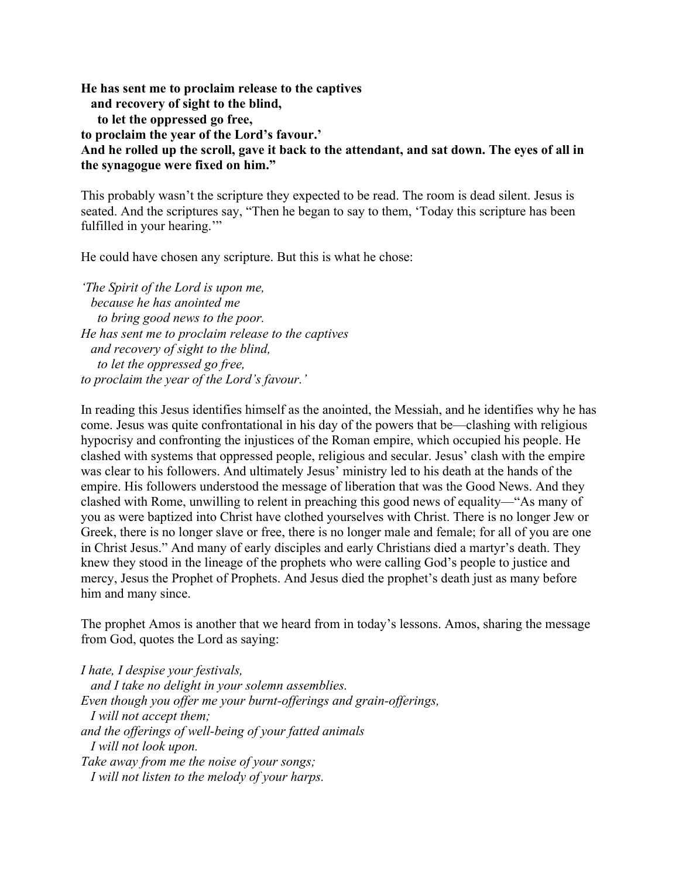**He has sent me to proclaim release to the captives and recovery of sight to the blind, to let the oppressed go free, to proclaim the year of the Lord's favour.' And he rolled up the scroll, gave it back to the attendant, and sat down. The eyes of all in the synagogue were fixed on him."**

This probably wasn't the scripture they expected to be read. The room is dead silent. Jesus is seated. And the scriptures say, "Then he began to say to them, 'Today this scripture has been fulfilled in your hearing."

He could have chosen any scripture. But this is what he chose:

*'The Spirit of the Lord is upon me, because he has anointed me to bring good news to the poor. He has sent me to proclaim release to the captives and recovery of sight to the blind, to let the oppressed go free, to proclaim the year of the Lord's favour.'*

In reading this Jesus identifies himself as the anointed, the Messiah, and he identifies why he has come. Jesus was quite confrontational in his day of the powers that be—clashing with religious hypocrisy and confronting the injustices of the Roman empire, which occupied his people. He clashed with systems that oppressed people, religious and secular. Jesus' clash with the empire was clear to his followers. And ultimately Jesus' ministry led to his death at the hands of the empire. His followers understood the message of liberation that was the Good News. And they clashed with Rome, unwilling to relent in preaching this good news of equality—"As many of you as were baptized into Christ have clothed yourselves with Christ. There is no longer Jew or Greek, there is no longer slave or free, there is no longer male and female; for all of you are one in Christ Jesus." And many of early disciples and early Christians died a martyr's death. They knew they stood in the lineage of the prophets who were calling God's people to justice and mercy, Jesus the Prophet of Prophets. And Jesus died the prophet's death just as many before him and many since.

The prophet Amos is another that we heard from in today's lessons. Amos, sharing the message from God, quotes the Lord as saying:

*I hate, I despise your festivals, and I take no delight in your solemn assemblies. Even though you offer me your burnt-offerings and grain-offerings, I will not accept them; and the offerings of well-being of your fatted animals I will not look upon. Take away from me the noise of your songs; I will not listen to the melody of your harps.*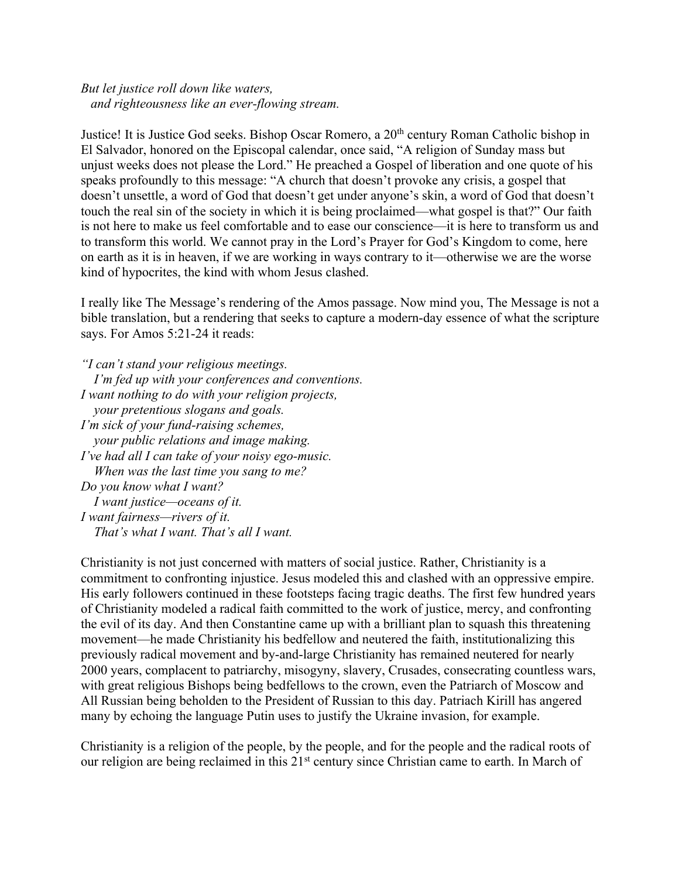## *But let justice roll down like waters, and righteousness like an ever-flowing stream.*

Justice! It is Justice God seeks. Bishop Oscar Romero, a 20<sup>th</sup> century Roman Catholic bishop in El Salvador, honored on the Episcopal calendar, once said, "A religion of Sunday mass but unjust weeks does not please the Lord." He preached a Gospel of liberation and one quote of his speaks profoundly to this message: "A church that doesn't provoke any crisis, a gospel that doesn't unsettle, a word of God that doesn't get under anyone's skin, a word of God that doesn't touch the real sin of the society in which it is being proclaimed—what gospel is that?" Our faith is not here to make us feel comfortable and to ease our conscience—it is here to transform us and to transform this world. We cannot pray in the Lord's Prayer for God's Kingdom to come, here on earth as it is in heaven, if we are working in ways contrary to it—otherwise we are the worse kind of hypocrites, the kind with whom Jesus clashed.

I really like The Message's rendering of the Amos passage. Now mind you, The Message is not a bible translation, but a rendering that seeks to capture a modern-day essence of what the scripture says. For Amos 5:21-24 it reads:

*"I can't stand your religious meetings. I'm fed up with your conferences and conventions. I want nothing to do with your religion projects, your pretentious slogans and goals. I'm sick of your fund-raising schemes, your public relations and image making. I've had all I can take of your noisy ego-music. When was the last time you sang to me? Do you know what I want? I want justice—oceans of it. I want fairness—rivers of it. That's what I want. That's all I want.*

Christianity is not just concerned with matters of social justice. Rather, Christianity is a commitment to confronting injustice. Jesus modeled this and clashed with an oppressive empire. His early followers continued in these footsteps facing tragic deaths. The first few hundred years of Christianity modeled a radical faith committed to the work of justice, mercy, and confronting the evil of its day. And then Constantine came up with a brilliant plan to squash this threatening movement—he made Christianity his bedfellow and neutered the faith, institutionalizing this previously radical movement and by-and-large Christianity has remained neutered for nearly 2000 years, complacent to patriarchy, misogyny, slavery, Crusades, consecrating countless wars, with great religious Bishops being bedfellows to the crown, even the Patriarch of Moscow and All Russian being beholden to the President of Russian to this day. Patriach Kirill has angered many by echoing the language Putin uses to justify the Ukraine invasion, for example.

Christianity is a religion of the people, by the people, and for the people and the radical roots of our religion are being reclaimed in this 21<sup>st</sup> century since Christian came to earth. In March of